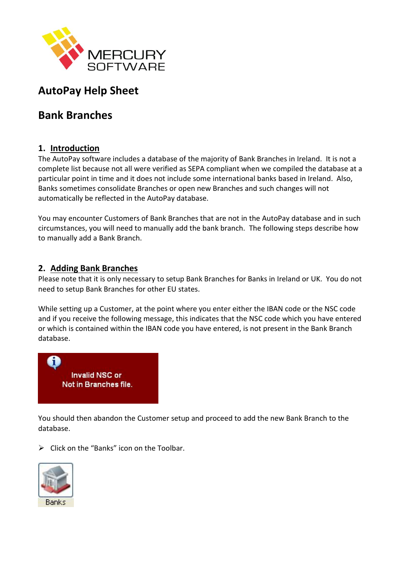

# **AutoPay Help Sheet**

## **Bank Branches**

#### **1. Introduction**

The AutoPay software includes a database of the majority of Bank Branches in Ireland. It is not a complete list because not all were verified as SEPA compliant when we compiled the database at a particular point in time and it does not include some international banks based in Ireland. Also, Banks sometimes consolidate Branches or open new Branches and such changes will not automatically be reflected in the AutoPay database.

You may encounter Customers of Bank Branches that are not in the AutoPay database and in such circumstances, you will need to manually add the bank branch. The following steps describe how to manually add a Bank Branch.

#### **2. Adding Bank Branches**

Please note that it is only necessary to setup Bank Branches for Banks in Ireland or UK. You do not need to setup Bank Branches for other EU states.

While setting up a Customer, at the point where you enter either the IBAN code or the NSC code and if you receive the following message, this indicates that the NSC code which you have entered or which is contained within the IBAN code you have entered, is not present in the Bank Branch database.



You should then abandon the Customer setup and proceed to add the new Bank Branch to the database.

 $\triangleright$  Click on the "Banks" icon on the Toolbar.

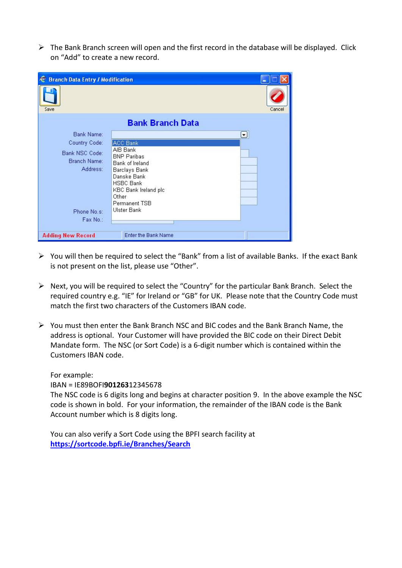$\triangleright$  The Bank Branch screen will open and the first record in the database will be displayed. Click on "Add" to create a new record.

| <b>Branch Data Entry / Modification</b><br>奄 |                                       |        |  |  |
|----------------------------------------------|---------------------------------------|--------|--|--|
| Save                                         |                                       | Cancel |  |  |
| <b>Bank Branch Data</b>                      |                                       |        |  |  |
| Bank Name:                                   |                                       | ⊡      |  |  |
| Country Code:                                | ACC Bank                              |        |  |  |
| Bank NSC Code:                               | AIB Bank                              |        |  |  |
| Branch Name:                                 | <b>BNP Paribas</b><br>Bank of Ireland |        |  |  |
| Address:                                     | Barclays Bank                         |        |  |  |
|                                              | Danske Bank                           |        |  |  |
|                                              | <b>HSBC Bank</b>                      |        |  |  |
|                                              | KBC Bank Ireland plc<br>Other         |        |  |  |
|                                              | Permanent TSB                         |        |  |  |
| Phone No.s:                                  | <b>Ulster Bank</b>                    |        |  |  |
| Fax No.:                                     |                                       |        |  |  |
|                                              |                                       |        |  |  |
| <b>Adding New Record</b>                     | <b>Enter the Bank Name</b>            |        |  |  |

- ➢ You will then be required to select the "Bank" from a list of available Banks. If the exact Bank is not present on the list, please use "Other".
- ➢ Next, you will be required to select the "Country" for the particular Bank Branch. Select the required country e.g. "IE" for Ireland or "GB" for UK. Please note that the Country Code must match the first two characters of the Customers IBAN code.
- $\triangleright$  You must then enter the Bank Branch NSC and BIC codes and the Bank Branch Name, the address is optional. Your Customer will have provided the BIC code on their Direct Debit Mandate form. The NSC (or Sort Code) is a 6-digit number which is contained within the Customers IBAN code.

For example:

IBAN = IE89BOFI**901263**12345678

The NSC code is 6 digits long and begins at character position 9. In the above example the NSC code is shown in bold. For your information, the remainder of the IBAN code is the Bank Account number which is 8 digits long.

You can also verify a Sort Code using the BPFI search facility at **<https://sortcode.bpfi.ie/Branches/Search>**